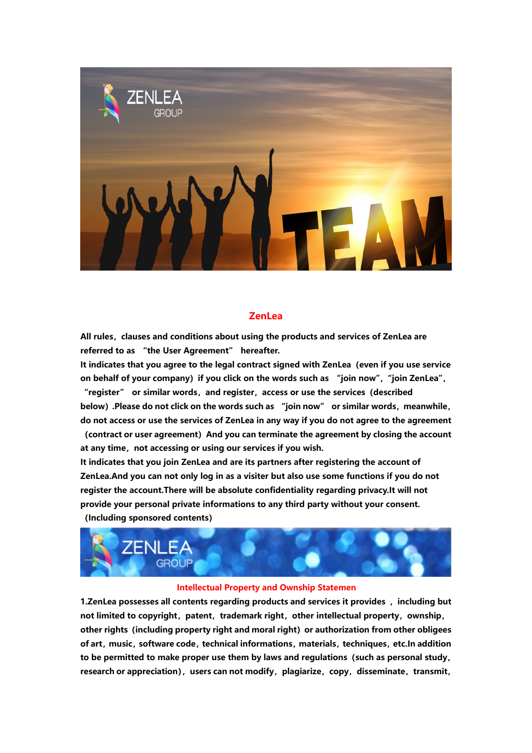

# **ZenLea**

**All rules,clauses and conditions about using the products and services of ZenLea are referred to as "the User Agreement" hereafter.**

**It indicates that you agree to the legal contract signed with ZenLea(even if you use service on behalf of your company)if you click on the words such as "join now","join ZenLea", "register" or similar words,and register,access or use the services(described**

**below).Please do not click on the words such as "join now" or similar words,meanwhile, do not access or use the services of ZenLea in any way ifyou do not agree to the agreement (contract or user agreement)And you can terminate the agreement by closing the account at any time,not accessing or using our services if you wish.**

**It indicates that you join ZenLea and are its partners after registering the account of ZenLea.And you can not only log in as a visiter but also use some functions if you do not register the account.There will be absolute confidentiality regarding privacy.It will not provide your personal private informations to any third party without your consent. (Including sponsored contents)**



### **Intellectual Property and Ownship Statemen**

**1.ZenLea possesses all contents regarding products and services it provides ,including but not limited to copyright, patent, trademark right, other intellectual property, ownship, other rights(including property right and moral right)or authorization from other obligees of art,music,software code,technical informations,materials,techniques,etc.In addition to be permitted to make proper use them by laws and regulations(such as personal study, research** or appreciation), users can not modify, plagiarize, copy, disseminate, transmit,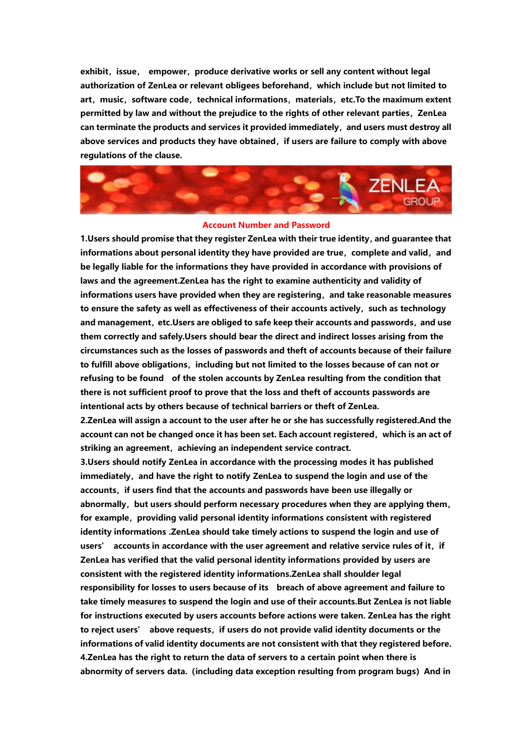**exhibit, issue, empower, produce derivative works or sell any content without legal authorization of ZenLea or relevant obligees beforehand,which include but not limited to art,music,software code,technical informations,materials,etc.To the maximum extent permitted** by law and without the prejudice to the rights of other relevant parties, ZenLea **can terminate the products and services it provided immediately,and users must destroy all above services and products they have obtained,if users are failure to comply with above regulations of the clause.**



#### **Account Number and Password**

**1.Users should promise that they register ZenLea with their true identity,and guarantee that informations about personal identity they have provided are true,complete and valid,and be legally liable for the informations they have provided in accordance with provisions of laws and the agreement.ZenLea has the right to examine authenticity and validity of informations users have provided when they are registering,and take reasonable measures to ensure the safety as well as effectiveness of their accounts actively,such as technology and management,etc.Users are obliged to safe keep their accounts and passwords,and use them correctly and safely.Users should bear the directand indirect losses arising from the circumstances such as the losses of passwords and theft of accounts because of their failure to fulfill above obligations,including but not limited to the losses because of can not or refusing to be found of the stolen accounts by ZenLea resulting from the condition that there is notsufficient proof to prove that the loss and theft of accounts passwords are intentional acts by others because of technical barriers ortheft of ZenLea.**

**2.ZenLea will assign a account to the user after he or she has successfully registered.And the account can not be changed once it has been set. Each account registered,which is an act of striking** an agreement, achieving an independent service contract.

**3.Users should notify ZenLea in accordance with the processing modes ithas published immediately,and have the right to notify ZenLea to suspend the login and use of the accounts,if users find that the accounts and passwords have been use illegally or abnormally,but users should perform necessary procedures when they are applying them, for example,providing valid personal identity informations consistent with registered identity informations .ZenLea should take timely actions to suspend the login and use of users' accounts in accordance with the user agreement and relative service rules of it,if ZenLea has verified that the valid personal identity informations provided by users are consistent with the registered identity informations.ZenLea shall shoulder legal responsibility for losses to users because of its breach of above agreement and failure to take timely measures to suspend the login and use of their accounts.But ZenLea is notliable for instructions executed by users accounts before actions were taken. ZenLea has the right to reject users' above requests,if users do not provide valid identity documents orthe informations of valid identity documents are not consistent with that they registered before. 4.ZenLea has the right to return the data of servers to a certain point when there is abnormity of servers data.(including data exception resulting from program bugs)And in**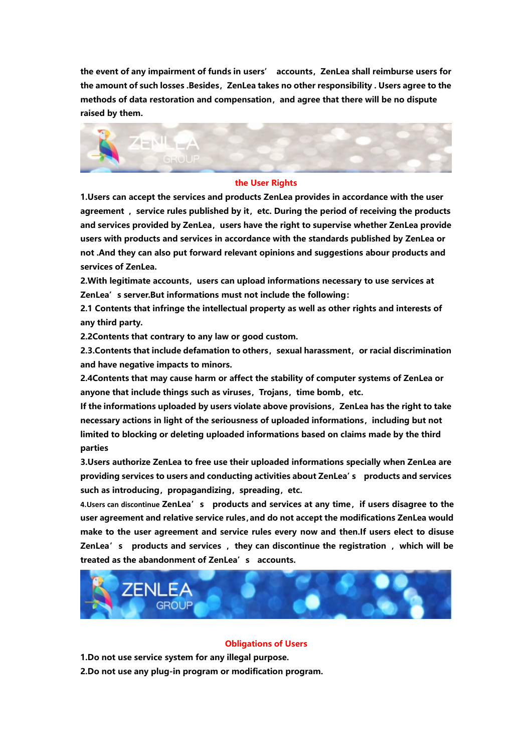**the event of any impairment of funds in users' accounts,ZenLea shall reimburse users for the amount of such losses .Besides,ZenLea takes no other responsibility . Users agree to the methods of data restoration and compensation,and agree that there will be no dispute raised by them.**



#### **the User Rights**

**1.Users can accept the services and products ZenLea provides in accordance with the user agreement ,service rules published by it,etc. During the period of receiving the products and services provided by ZenLea,users have the right to supervise whether ZenLea provide users with products and services in accordance with the standards published by ZenLea or not .And they can also put forward relevant opinions and suggestions abour products and services of ZenLea.**

**2.With legitimate accounts,users can upload informations necessary to use services at ZenLea's server.But informations must not include the following:**

**2.1 Contents that infringe the intellectual property as well as other rights and interests of any third party.**

**2.2Contents that contrary to any law or good custom.**

**2.3.Contents that include defamation to others,sexual harassment,or racial discrimination and have negative impacts to minors.**

**2.4Contents that may cause harm or affect the stability of computer systems of ZenLea or anyone that include things such as viruses,Trojans,time bomb,etc.**

**If the informations uploaded by users violate above provisions,ZenLea has the right to take necessary actions in light of the seriousness of uploaded informations,including but not limited to blocking or deleting uploaded informations based on claims made by the third parties**

**3.Users authorize ZenLea to free use their uploaded informations specially when ZenLea are providing services to users and conducting activities about ZenLea's products and services** such as introducing, propagandizing, spreading, etc.

**4.Users can discontinue ZenLea's products and services at any time,if users disagree to the user agreement and relative service rules,and do not accept the modifications ZenLea would make to the user agreement and service rules every now and then.If users elect to disuse ZenLea's products and services ,they can discontinue the registration ,which willbe treated as the abandonment of ZenLea's accounts.**



#### **Obligations of Users**

**1.Do not use service system for any illegal purpose.**

**2.Do not use any plug-in program or modification program.**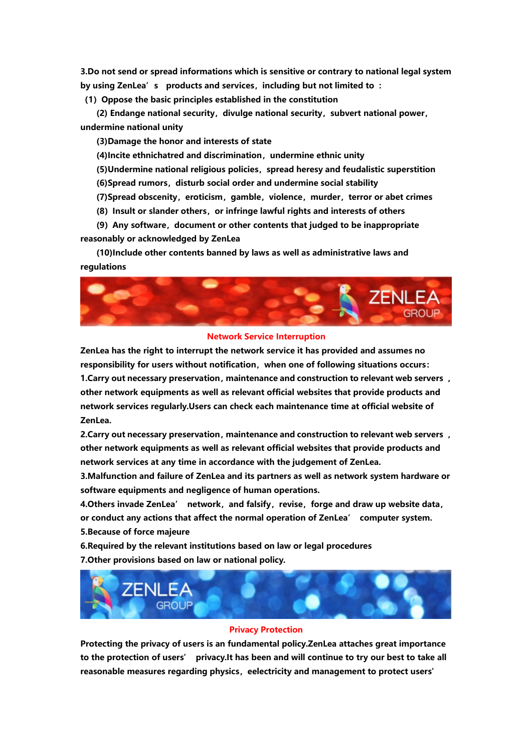**3.Do not send or spread informations which is sensitive or contrary to national legal system by using ZenLea's products and services,including but not limited to :**

**(1)Oppose the basic principles established in the constitution**

**(2) Endange national security,divulge national security,subvert national power, undermine national unity**

**(3)Damage the honor and interests of state**

**(4)Incite ethnichatred and discrimination,undermine ethnic unity**

**(5)Undermine national religious policies,spread heresy and feudalistic superstition**

**(6)Spread rumors,disturb social order and undermine social stability**

**(7)Spread obscenity,eroticism,gamble,violence,murder,terror or abet crimes**

**(8)Insult or slander others,or infringe lawful rights and interests of others**

**(9)Any software,document or other contents that judged to be inappropriate reasonably or acknowledged by ZenLea**

**(10)Include othercontents banned by laws as well as administrative laws and regulations**



## **Network Service Interruption**

**ZenLea has the right to interrupt the network service it has provided and assumes no responsibility for users without notification,when one of following situations occurs: 1.Carry out necessary preservation,maintenance and construction to relevant web servers , other network equipments as wellas relevant official websites that provide products and network services regularly.Users can check each maintenance time at official website of ZenLea.**

**2.Carry out necessary preservation,maintenance and construction to relevant web servers , other network equipments as wellas relevant official websites that provide products and network services at any time in accordance with the judgement of ZenLea.**

**3.Malfunction and failure of ZenLea and its partners as well as network system hardware or software equipments and negligence of human operations.**

**4.Others invade ZenLea' network,and falsify,revise,forge and draw up website data, or conduct any actions that affect the normal operation of ZenLea' computer system. 5.Because of force majeure**

**6.Required by the relevant institutions based on law or legal procedures 7.Other provisions based on law or national policy.**



### **Privacy Protection**

**Protecting the privacy of users is an fundamentalpolicy.ZenLea attaches great importance to the protection of users' privacy.It has been and will continue to try our best to take all reasonable measures regarding physics, eelectricity and management to protect users'**